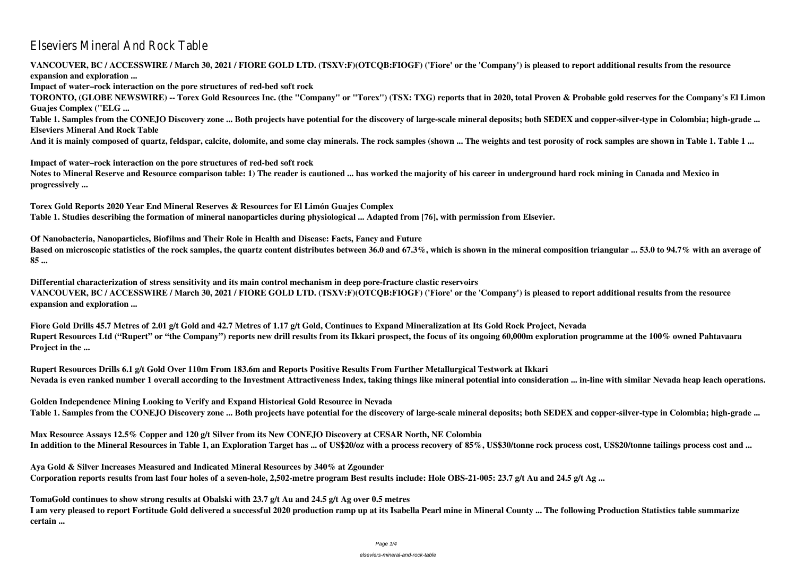# Elseviers Mineral And Rock Table

**VANCOUVER, BC / ACCESSWIRE / March 30, 2021 / FIORE GOLD LTD. (TSXV:F)(OTCQB:FIOGF) ('Fiore' or the 'Company') is pleased to report additional results from the resource expansion and exploration ... Impact of water–rock interaction on the pore structures of red-bed soft rock TORONTO, (GLOBE NEWSWIRE) -- Torex Gold Resources Inc. (the "Company" or "Torex") (TSX: TXG) reports that in 2020, total Proven & Probable gold reserves for the Company's El Limon Guajes Complex ("ELG ... Table 1. Samples from the CONEJO Discovery zone ... Both projects have potential for the discovery of large-scale mineral deposits; both SEDEX and copper-silver-type in Colombia; high-grade ... Elseviers Mineral And Rock Table And it is mainly composed of quartz, feldspar, calcite, dolomite, and some clay minerals. The rock samples (shown ... The weights and test porosity of rock samples are shown in Table 1. Table 1 ...**

**Impact of water–rock interaction on the pore structures of red-bed soft rock Notes to Mineral Reserve and Resource comparison table: 1) The reader is cautioned ... has worked the majority of his career in underground hard rock mining in Canada and Mexico in progressively ...**

**Torex Gold Reports 2020 Year End Mineral Reserves & Resources for El Limón Guajes Complex Table 1. Studies describing the formation of mineral nanoparticles during physiological ... Adapted from [76], with permission from Elsevier.**

**Of Nanobacteria, Nanoparticles, Biofilms and Their Role in Health and Disease: Facts, Fancy and Future Based on microscopic statistics of the rock samples, the quartz content distributes between 36.0 and 67.3%, which is shown in the mineral composition triangular ... 53.0 to 94.7% with an average of 85 ...**

**Differential characterization of stress sensitivity and its main control mechanism in deep pore-fracture clastic reservoirs VANCOUVER, BC / ACCESSWIRE / March 30, 2021 / FIORE GOLD LTD. (TSXV:F)(OTCQB:FIOGF) ('Fiore' or the 'Company') is pleased to report additional results from the resource expansion and exploration ...**

**Fiore Gold Drills 45.7 Metres of 2.01 g/t Gold and 42.7 Metres of 1.17 g/t Gold, Continues to Expand Mineralization at Its Gold Rock Project, Nevada Rupert Resources Ltd ("Rupert" or "the Company") reports new drill results from its Ikkari prospect, the focus of its ongoing 60,000m exploration programme at the 100% owned Pahtavaara Project in the ...**

**Rupert Resources Drills 6.1 g/t Gold Over 110m From 183.6m and Reports Positive Results From Further Metallurgical Testwork at Ikkari Nevada is even ranked number 1 overall according to the Investment Attractiveness Index, taking things like mineral potential into consideration ... in-line with similar Nevada heap leach operations.**

**Golden Independence Mining Looking to Verify and Expand Historical Gold Resource in Nevada Table 1. Samples from the CONEJO Discovery zone ... Both projects have potential for the discovery of large-scale mineral deposits; both SEDEX and copper-silver-type in Colombia; high-grade ...**

**Max Resource Assays 12.5% Copper and 120 g/t Silver from its New CONEJO Discovery at CESAR North, NE Colombia In addition to the Mineral Resources in Table 1, an Exploration Target has ... of US\$20/oz with a process recovery of 85%, US\$30/tonne rock process cost, US\$20/tonne tailings process cost and ...**

**Aya Gold & Silver Increases Measured and Indicated Mineral Resources by 340% at Zgounder Corporation reports results from last four holes of a seven-hole, 2,502-metre program Best results include: Hole OBS-21-005: 23.7 g/t Au and 24.5 g/t Ag ...**

**TomaGold continues to show strong results at Obalski with 23.7 g/t Au and 24.5 g/t Ag over 0.5 metres I am very pleased to report Fortitude Gold delivered a successful 2020 production ramp up at its Isabella Pearl mine in Mineral County ... The following Production Statistics table summarize certain ...**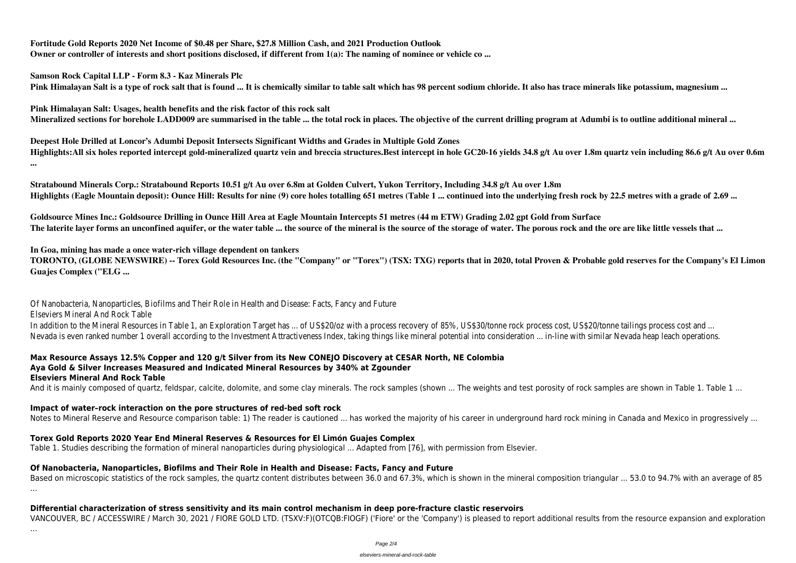**Fortitude Gold Reports 2020 Net Income of \$0.48 per Share, \$27.8 Million Cash, and 2021 Production Outlook Owner or controller of interests and short positions disclosed, if different from 1(a): The naming of nominee or vehicle co ...**

**Samson Rock Capital LLP - Form 8.3 - Kaz Minerals Plc Pink Himalayan Salt is a type of rock salt that is found ... It is chemically similar to table salt which has 98 percent sodium chloride. It also has trace minerals like potassium, magnesium ...**

**Pink Himalayan Salt: Usages, health benefits and the risk factor of this rock salt Mineralized sections for borehole LADD009 are summarised in the table ... the total rock in places. The objective of the current drilling program at Adumbi is to outline additional mineral ...**

**Deepest Hole Drilled at Loncor's Adumbi Deposit Intersects Significant Widths and Grades in Multiple Gold Zones Highlights:All six holes reported intercept gold-mineralized quartz vein and breccia structures.Best intercept in hole GC20-16 yields 34.8 g/t Au over 1.8m quartz vein including 86.6 g/t Au over 0.6m ...**

**Stratabound Minerals Corp.: Stratabound Reports 10.51 g/t Au over 6.8m at Golden Culvert, Yukon Territory, Including 34.8 g/t Au over 1.8m Highlights (Eagle Mountain deposit): Ounce Hill: Results for nine (9) core holes totalling 651 metres (Table 1 ... continued into the underlying fresh rock by 22.5 metres with a grade of 2.69 ...**

In addition to the Mineral Resources in Table 1, an Exploration Target has ... of US\$20/oz with a process recovery of 85%, US\$30/tonne rock process cost, US\$20/tonne tailings process cost and ... Nevada is even ranked number 1 overall according to the Investment Attractiveness Index, taking things like mineral potential into consideration ... in-line with similar Nevada heap leach operations.

**Goldsource Mines Inc.: Goldsource Drilling in Ounce Hill Area at Eagle Mountain Intercepts 51 metres (44 m ETW) Grading 2.02 gpt Gold from Surface The laterite layer forms an unconfined aquifer, or the water table ... the source of the mineral is the source of the storage of water. The porous rock and the ore are like little vessels that ...**

### **In Goa, mining has made a once water-rich village dependent on tankers**

**TORONTO, (GLOBE NEWSWIRE) -- Torex Gold Resources Inc. (the "Company" or "Torex") (TSX: TXG) reports that in 2020, total Proven & Probable gold reserves for the Company's El Limon Guajes Complex ("ELG ...**

Of Nanobacteria, Nanoparticles, Biofilms and Their Role in Health and Disease: Facts, Fancy and Future

Elseviers Mineral And Rock Table

#### **Max Resource Assays 12.5% Copper and 120 g/t Silver from its New CONEJO Discovery at CESAR North, NE Colombia Aya Gold & Silver Increases Measured and Indicated Mineral Resources by 340% at Zgounder Elseviers Mineral And Rock Table**

And it is mainly composed of quartz, feldspar, calcite, dolomite, and some clay minerals. The rock samples (shown ... The weights and test porosity of rock samples are shown in Table 1. Table 1 ...

### **Impact of water–rock interaction on the pore structures of red-bed soft rock**

Notes to Mineral Reserve and Resource comparison table: 1) The reader is cautioned ... has worked the majority of his career in underground hard rock mining in Canada and Mexico in progressively ...

### **Torex Gold Reports 2020 Year End Mineral Reserves & Resources for El Limón Guajes Complex**

Table 1. Studies describing the formation of mineral nanoparticles during physiological ... Adapted from [76], with permission from Elsevier.

### **Of Nanobacteria, Nanoparticles, Biofilms and Their Role in Health and Disease: Facts, Fancy and Future**

Based on microscopic statistics of the rock samples, the quartz content distributes between 36.0 and 67.3%, which is shown in the mineral composition triangular ... 53.0 to 94.7% with an average of 85 ...

### **Differential characterization of stress sensitivity and its main control mechanism in deep pore-fracture clastic reservoirs**

VANCOUVER, BC / ACCESSWIRE / March 30, 2021 / FIORE GOLD LTD. (TSXV:F)(OTCQB:FIOGF) ('Fiore' or the 'Company') is pleased to report additional results from the resource expansion and exploration

...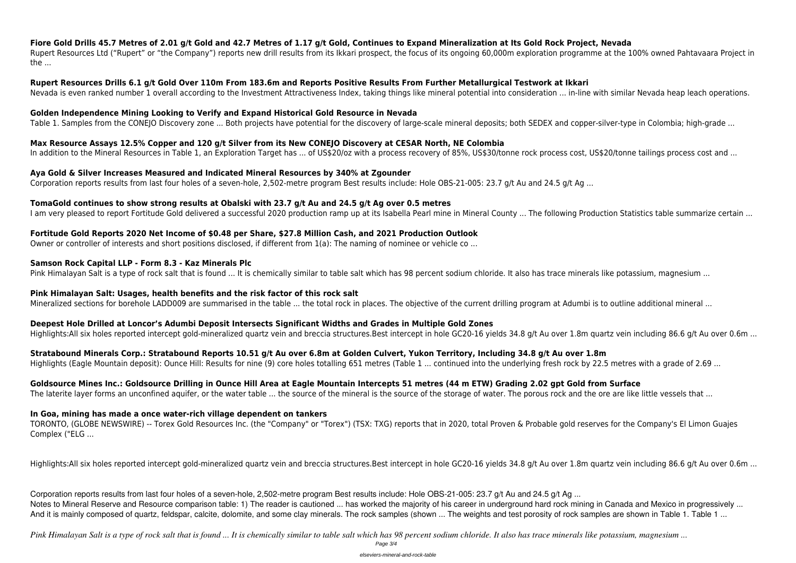**Fiore Gold Drills 45.7 Metres of 2.01 g/t Gold and 42.7 Metres of 1.17 g/t Gold, Continues to Expand Mineralization at Its Gold Rock Project, Nevada** Rupert Resources Ltd ("Rupert" or "the Company") reports new drill results from its Ikkari prospect, the focus of its ongoing 60,000m exploration programme at the 100% owned Pahtavaara Project in the ...

**Rupert Resources Drills 6.1 g/t Gold Over 110m From 183.6m and Reports Positive Results From Further Metallurgical Testwork at Ikkari** Nevada is even ranked number 1 overall according to the Investment Attractiveness Index, taking things like mineral potential into consideration ... in-line with similar Nevada heap leach operations.

#### **Golden Independence Mining Looking to Verify and Expand Historical Gold Resource in Nevada**

Table 1. Samples from the CONEJO Discovery zone ... Both projects have potential for the discovery of large-scale mineral deposits; both SEDEX and copper-silver-type in Colombia; high-grade ...

#### **Max Resource Assays 12.5% Copper and 120 g/t Silver from its New CONEJO Discovery at CESAR North, NE Colombia**

In addition to the Mineral Resources in Table 1, an Exploration Target has ... of US\$20/oz with a process recovery of 85%, US\$30/tonne rock process cost, US\$20/tonne tailings process cost and ...

#### **Aya Gold & Silver Increases Measured and Indicated Mineral Resources by 340% at Zgounder**

Corporation reports results from last four holes of a seven-hole, 2,502-metre program Best results include: Hole OBS-21-005: 23.7 g/t Au and 24.5 g/t Ag ...

#### **TomaGold continues to show strong results at Obalski with 23.7 g/t Au and 24.5 g/t Ag over 0.5 metres**

I am very pleased to report Fortitude Gold delivered a successful 2020 production ramp up at its Isabella Pearl mine in Mineral County ... The following Production Statistics table summarize certain ...

#### **Fortitude Gold Reports 2020 Net Income of \$0.48 per Share, \$27.8 Million Cash, and 2021 Production Outlook**

Owner or controller of interests and short positions disclosed, if different from 1(a): The naming of nominee or vehicle co ...

Corporation reports results from last four holes of a seven-hole, 2,502-metre program Best results include: Hole OBS-21-005: 23.7 g/t Au and 24.5 g/t Ag ... Notes to Mineral Reserve and Resource comparison table: 1) The reader is cautioned ... has worked the majority of his career in underground hard rock mining in Canada and Mexico in progressively ... And it is mainly composed of quartz, feldspar, calcite, dolomite, and some clay minerals. The rock samples (shown ... The weights and test porosity of rock samples are shown in Table 1. Table 1 ...

#### **Samson Rock Capital LLP - Form 8.3 - Kaz Minerals Plc**

Pink Himalayan Salt is a type of rock salt that is found ... It is chemically similar to table salt which has 98 percent sodium chloride. It also has trace minerals like potassium, magnesium ...

#### **Pink Himalayan Salt: Usages, health benefits and the risk factor of this rock salt**

Mineralized sections for borehole LADD009 are summarised in the table ... the total rock in places. The objective of the current drilling program at Adumbi is to outline additional mineral ...

#### **Deepest Hole Drilled at Loncor's Adumbi Deposit Intersects Significant Widths and Grades in Multiple Gold Zones**

Highlights:All six holes reported intercept gold-mineralized quartz vein and breccia structures.Best intercept in hole GC20-16 yields 34.8 g/t Au over 1.8m quartz vein including 86.6 g/t Au over 0.6m ...

**Stratabound Minerals Corp.: Stratabound Reports 10.51 g/t Au over 6.8m at Golden Culvert, Yukon Territory, Including 34.8 g/t Au over 1.8m**

Highlights (Eagle Mountain deposit): Ounce Hill: Results for nine (9) core holes totalling 651 metres (Table 1 ... continued into the underlying fresh rock by 22.5 metres with a grade of 2.69 ...

## **Goldsource Mines Inc.: Goldsource Drilling in Ounce Hill Area at Eagle Mountain Intercepts 51 metres (44 m ETW) Grading 2.02 gpt Gold from Surface**

The laterite layer forms an unconfined aquifer, or the water table ... the source of the mineral is the source of the storage of water. The porous rock and the ore are like little vessels that ...

#### **In Goa, mining has made a once water-rich village dependent on tankers**

TORONTO, (GLOBE NEWSWIRE) -- Torex Gold Resources Inc. (the "Company" or "Torex") (TSX: TXG) reports that in 2020, total Proven & Probable gold reserves for the Company's El Limon Guajes Complex ("ELG ...

Highlights:All six holes reported intercept gold-mineralized quartz vein and breccia structures.Best intercept in hole GC20-16 yields 34.8 g/t Au over 1.8m quartz vein including 86.6 g/t Au over 0.6m ...

*Pink Himalayan Salt is a type of rock salt that is found ... It is chemically similar to table salt which has 98 percent sodium chloride. It also has trace minerals like potassium, magnesium ...* Page 3/4